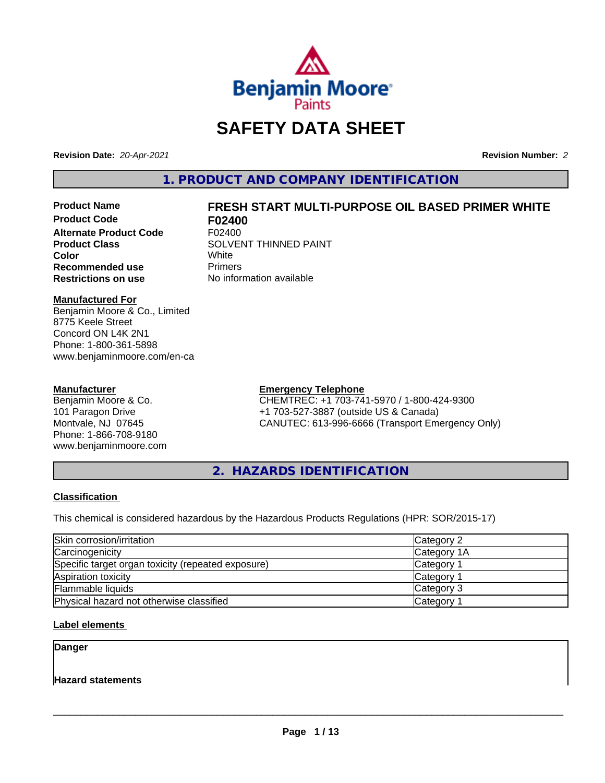

# **SAFETY DATA SHEET**

**Revision Date:** *20-Apr-2021* **Revision Number:** *2*

**1. PRODUCT AND COMPANY IDENTIFICATION**

**Product Code F02400 Alternate Product Code F02400**<br>Product Class SOLVEI **Recommended use The Primers<br>
<b>Restrictions on use** No infor

# **Product Name FRESH START MULTI-PURPOSE OIL BASED PRIMER WHITE**

**SOLVENT THINNED PAINT**<br>White **Color** White White **No information available** 

#### **Manufactured For**

Benjamin Moore & Co., Limited 8775 Keele Street Concord ON L4K 2N1 Phone: 1-800-361-5898 www.benjaminmoore.com/en-ca

#### **Manufacturer**

Benjamin Moore & Co. 101 Paragon Drive Montvale, NJ 07645 Phone: 1-866-708-9180 www.benjaminmoore.com

#### **Emergency Telephone**

CHEMTREC: +1 703-741-5970 / 1-800-424-9300 +1 703-527-3887 (outside US & Canada) CANUTEC: 613-996-6666 (Transport Emergency Only)

**2. HAZARDS IDENTIFICATION**

#### **Classification**

This chemical is considered hazardous by the Hazardous Products Regulations (HPR: SOR/2015-17)

| Skin corrosion/irritation                          | Category 2            |
|----------------------------------------------------|-----------------------|
| Carcinogenicity                                    | Category 1A           |
| Specific target organ toxicity (repeated exposure) | Category 1            |
| Aspiration toxicity                                | Category <sup>2</sup> |
| Flammable liquids                                  | Category 3            |
| Physical hazard not otherwise classified           | Category <sup>2</sup> |

#### **Label elements**

**Danger**

**Hazard statements**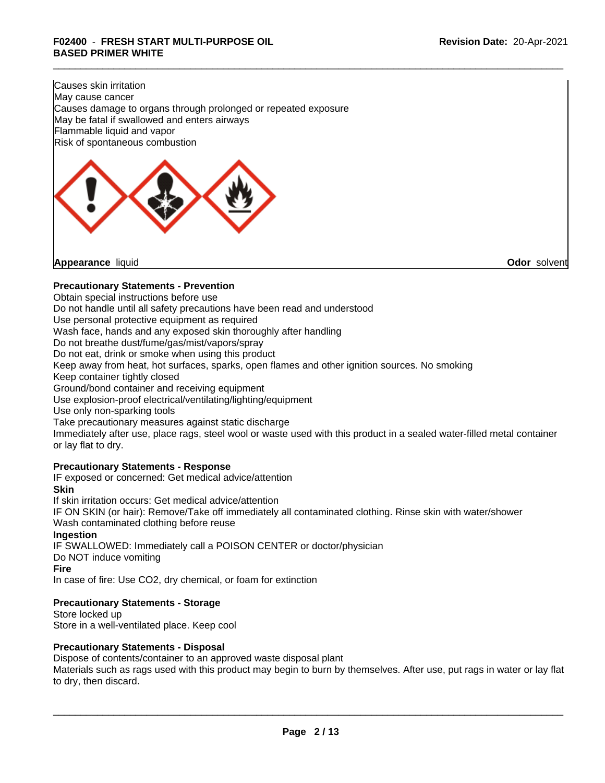Causes skin irritation May cause cancer Causes damage to organs through prolonged or repeated exposure May be fatal if swallowed and enters airways Flammable liquid and vapor Risk of spontaneous combustion



**Appearance** liquid **Odor** solvent

#### **Precautionary Statements - Prevention**

Obtain special instructions before use

Do not handle until all safety precautions have been read and understood

Use personal protective equipment as required

Wash face, hands and any exposed skin thoroughly after handling

Do not breathe dust/fume/gas/mist/vapors/spray

Do not eat, drink or smoke when using this product

Keep away from heat, hot surfaces, sparks, open flames and other ignition sources. No smoking

Keep container tightly closed

Ground/bond container and receiving equipment

Use explosion-proof electrical/ventilating/lighting/equipment

Use only non-sparking tools

Take precautionary measures against static discharge

Immediately after use, place rags, steel wool or waste used with this product in a sealed water-filled metal container or lay flat to dry.

#### **Precautionary Statements - Response**

IF exposed or concerned: Get medical advice/attention **Skin** If skin irritation occurs: Get medical advice/attention IF ON SKIN (or hair): Remove/Take off immediately all contaminated clothing. Rinse skin with water/shower Wash contaminated clothing before reuse **Ingestion** IF SWALLOWED: Immediately call a POISON CENTER or doctor/physician Do NOT induce vomiting **Fire** In case of fire: Use CO2, dry chemical, or foam for extinction

#### **Precautionary Statements - Storage**

Store locked up Store in a well-ventilated place. Keep cool

#### **Precautionary Statements - Disposal**

Dispose of contents/container to an approved waste disposal plant

Materials such as rags used with this product may begin to burn by themselves. After use, put rags in water or lay flat to dry, then discard.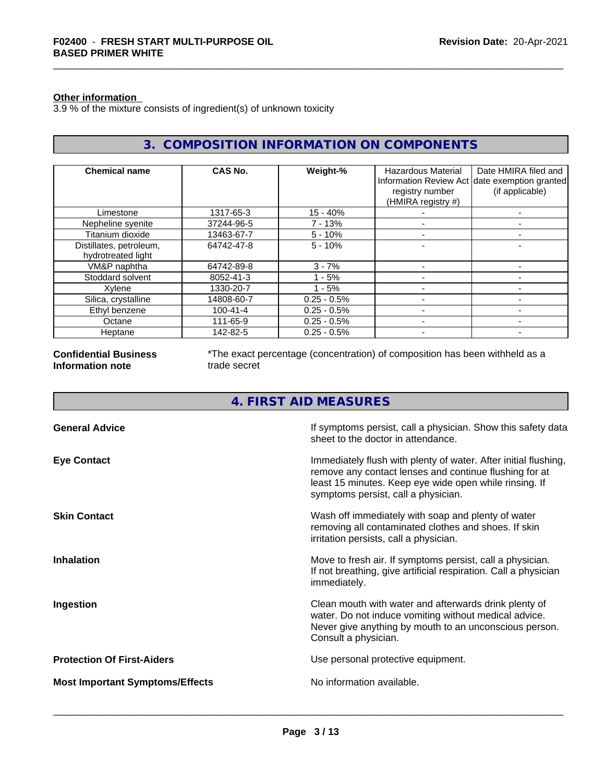#### **Other information**

Г

3.9 % of the mixture consists of ingredient(s) of unknown toxicity

| 3. COMPOSITION INFORMATION ON COMPONENTS      |                |                |                                       |                                                                  |
|-----------------------------------------------|----------------|----------------|---------------------------------------|------------------------------------------------------------------|
| <b>Chemical name</b>                          | CAS No.        | Weight-%       | Hazardous Material                    | Date HMIRA filed and                                             |
|                                               |                |                | registry number<br>(HMIRA registry #) | Information Review Act date exemption granted<br>(if applicable) |
| Limestone                                     | 1317-65-3      | $15 - 40%$     |                                       |                                                                  |
| Nepheline syenite                             | 37244-96-5     | 7 - 13%        |                                       | $\overline{\phantom{0}}$                                         |
| Titanium dioxide                              | 13463-67-7     | $5 - 10%$      |                                       | $\overline{\phantom{0}}$                                         |
| Distillates, petroleum,<br>hydrotreated light | 64742-47-8     | $5 - 10%$      |                                       | -                                                                |
| VM&P naphtha                                  | 64742-89-8     | $3 - 7%$       |                                       |                                                                  |
| Stoddard solvent                              | 8052-41-3      | $1 - 5%$       |                                       |                                                                  |
| Xylene                                        | 1330-20-7      | $1 - 5%$       |                                       | $\overline{\phantom{0}}$                                         |
| Silica, crystalline                           | 14808-60-7     | $0.25 - 0.5\%$ |                                       | -                                                                |
| Ethyl benzene                                 | $100 - 41 - 4$ | $0.25 - 0.5%$  |                                       | -                                                                |
| Octane                                        | 111-65-9       | $0.25 - 0.5\%$ |                                       | ۰                                                                |
| Heptane                                       | 142-82-5       | $0.25 - 0.5%$  |                                       |                                                                  |

**Confidential Business Information note**

\*The exact percentage (concentration) of composition has been withheld as a trade secret

### **4. FIRST AID MEASURES**

| <b>General Advice</b>                  | If symptoms persist, call a physician. Show this safety data<br>sheet to the doctor in attendance.                                                                                                                         |
|----------------------------------------|----------------------------------------------------------------------------------------------------------------------------------------------------------------------------------------------------------------------------|
| <b>Eye Contact</b>                     | Immediately flush with plenty of water. After initial flushing,<br>remove any contact lenses and continue flushing for at<br>least 15 minutes. Keep eye wide open while rinsing. If<br>symptoms persist, call a physician. |
| <b>Skin Contact</b>                    | Wash off immediately with soap and plenty of water<br>removing all contaminated clothes and shoes. If skin<br>irritation persists, call a physician.                                                                       |
| <b>Inhalation</b>                      | Move to fresh air. If symptoms persist, call a physician.<br>If not breathing, give artificial respiration. Call a physician<br>immediately.                                                                               |
| Ingestion                              | Clean mouth with water and afterwards drink plenty of<br>water. Do not induce vomiting without medical advice.<br>Never give anything by mouth to an unconscious person.<br>Consult a physician.                           |
| <b>Protection Of First-Aiders</b>      | Use personal protective equipment.                                                                                                                                                                                         |
| <b>Most Important Symptoms/Effects</b> | No information available.                                                                                                                                                                                                  |
|                                        |                                                                                                                                                                                                                            |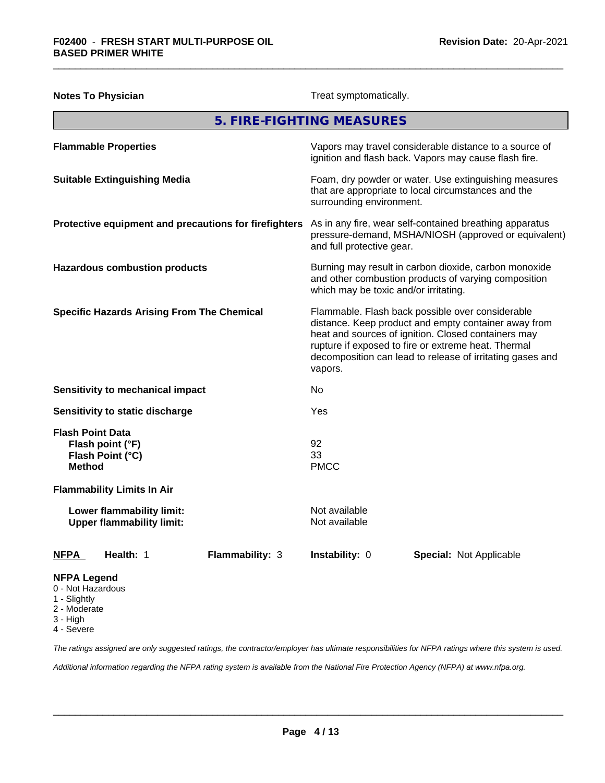| <b>Notes To Physician</b>                                                        | Treat symptomatically.                                                                                                                                                                                                                                                                         |  |  |
|----------------------------------------------------------------------------------|------------------------------------------------------------------------------------------------------------------------------------------------------------------------------------------------------------------------------------------------------------------------------------------------|--|--|
|                                                                                  | 5. FIRE-FIGHTING MEASURES                                                                                                                                                                                                                                                                      |  |  |
| <b>Flammable Properties</b>                                                      | Vapors may travel considerable distance to a source of<br>ignition and flash back. Vapors may cause flash fire.                                                                                                                                                                                |  |  |
| <b>Suitable Extinguishing Media</b>                                              | Foam, dry powder or water. Use extinguishing measures<br>that are appropriate to local circumstances and the<br>surrounding environment.                                                                                                                                                       |  |  |
| Protective equipment and precautions for firefighters                            | As in any fire, wear self-contained breathing apparatus<br>pressure-demand, MSHA/NIOSH (approved or equivalent)<br>and full protective gear.                                                                                                                                                   |  |  |
| <b>Hazardous combustion products</b>                                             | Burning may result in carbon dioxide, carbon monoxide<br>and other combustion products of varying composition<br>which may be toxic and/or irritating.                                                                                                                                         |  |  |
| <b>Specific Hazards Arising From The Chemical</b>                                | Flammable. Flash back possible over considerable<br>distance. Keep product and empty container away from<br>heat and sources of ignition. Closed containers may<br>rupture if exposed to fire or extreme heat. Thermal<br>decomposition can lead to release of irritating gases and<br>vapors. |  |  |
| <b>Sensitivity to mechanical impact</b>                                          | No                                                                                                                                                                                                                                                                                             |  |  |
| Sensitivity to static discharge                                                  | Yes                                                                                                                                                                                                                                                                                            |  |  |
| <b>Flash Point Data</b><br>Flash point (°F)<br>Flash Point (°C)<br><b>Method</b> | 92<br>33<br><b>PMCC</b>                                                                                                                                                                                                                                                                        |  |  |
| <b>Flammability Limits In Air</b>                                                |                                                                                                                                                                                                                                                                                                |  |  |
| Lower flammability limit:<br><b>Upper flammability limit:</b>                    | Not available<br>Not available                                                                                                                                                                                                                                                                 |  |  |
| Health: 1<br>Flammability: 3<br><u>NFPA</u>                                      | Instability: 0<br>Special: Not Applicable                                                                                                                                                                                                                                                      |  |  |
| <b>NFPA Legend</b><br>0 - Not Hazardous<br>1 - Slightly                          |                                                                                                                                                                                                                                                                                                |  |  |

- 2 Moderate
- 
- 3 High

4 - Severe

*The ratings assigned are only suggested ratings, the contractor/employer has ultimate responsibilities for NFPA ratings where this system is used.*

*Additional information regarding the NFPA rating system is available from the National Fire Protection Agency (NFPA) at www.nfpa.org.*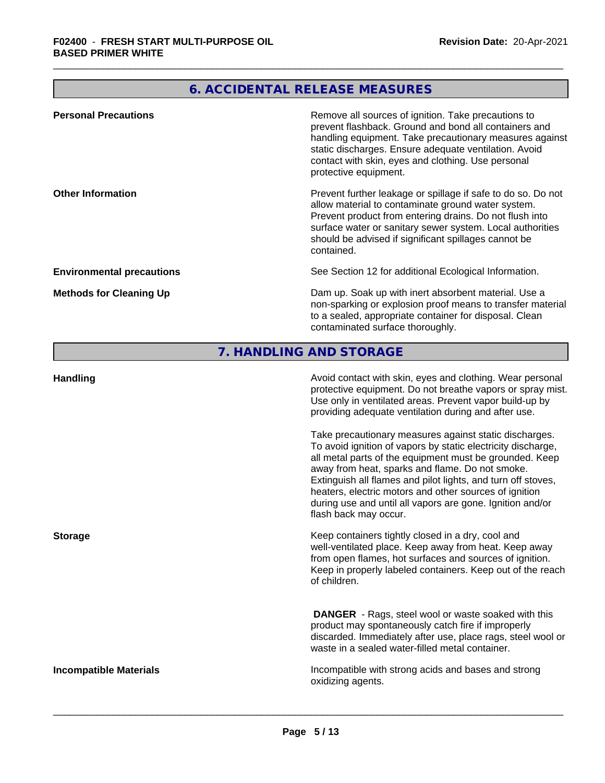## **6. ACCIDENTAL RELEASE MEASURES**

| <b>Personal Precautions</b>      | Remove all sources of ignition. Take precautions to<br>prevent flashback. Ground and bond all containers and<br>handling equipment. Take precautionary measures against<br>static discharges. Ensure adequate ventilation. Avoid<br>contact with skin, eyes and clothing. Use personal<br>protective equipment.  |
|----------------------------------|------------------------------------------------------------------------------------------------------------------------------------------------------------------------------------------------------------------------------------------------------------------------------------------------------------------|
| <b>Other Information</b>         | Prevent further leakage or spillage if safe to do so. Do not<br>allow material to contaminate ground water system.<br>Prevent product from entering drains. Do not flush into<br>surface water or sanitary sewer system. Local authorities<br>should be advised if significant spillages cannot be<br>contained. |
| <b>Environmental precautions</b> | See Section 12 for additional Ecological Information.                                                                                                                                                                                                                                                            |
| <b>Methods for Cleaning Up</b>   | Dam up. Soak up with inert absorbent material. Use a<br>non-sparking or explosion proof means to transfer material<br>to a sealed, appropriate container for disposal. Clean<br>contaminated surface thoroughly.                                                                                                 |

### **7. HANDLING AND STORAGE**

| <b>Handling</b>               | Avoid contact with skin, eyes and clothing. Wear personal<br>protective equipment. Do not breathe vapors or spray mist.<br>Use only in ventilated areas. Prevent vapor build-up by<br>providing adequate ventilation during and after use.                                                                                                                                                                                                           |
|-------------------------------|------------------------------------------------------------------------------------------------------------------------------------------------------------------------------------------------------------------------------------------------------------------------------------------------------------------------------------------------------------------------------------------------------------------------------------------------------|
|                               | Take precautionary measures against static discharges.<br>To avoid ignition of vapors by static electricity discharge,<br>all metal parts of the equipment must be grounded. Keep<br>away from heat, sparks and flame. Do not smoke.<br>Extinguish all flames and pilot lights, and turn off stoves,<br>heaters, electric motors and other sources of ignition<br>during use and until all vapors are gone. Ignition and/or<br>flash back may occur. |
| <b>Storage</b>                | Keep containers tightly closed in a dry, cool and<br>well-ventilated place. Keep away from heat. Keep away<br>from open flames, hot surfaces and sources of ignition.<br>Keep in properly labeled containers. Keep out of the reach<br>of children.                                                                                                                                                                                                  |
|                               | <b>DANGER</b> - Rags, steel wool or waste soaked with this<br>product may spontaneously catch fire if improperly<br>discarded. Immediately after use, place rags, steel wool or<br>waste in a sealed water-filled metal container.                                                                                                                                                                                                                   |
| <b>Incompatible Materials</b> | Incompatible with strong acids and bases and strong<br>oxidizing agents.                                                                                                                                                                                                                                                                                                                                                                             |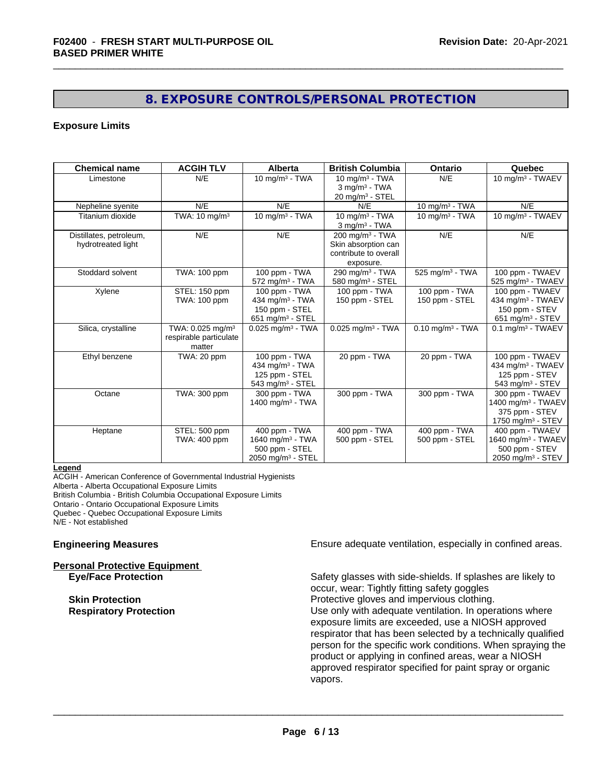### **8. EXPOSURE CONTROLS/PERSONAL PROTECTION**

#### **Exposure Limits**

| <b>Chemical name</b>    | <b>ACGIH TLV</b>             | <b>Alberta</b>                  | <b>British Columbia</b>         | Ontario                        | Quebec                          |
|-------------------------|------------------------------|---------------------------------|---------------------------------|--------------------------------|---------------------------------|
| Limestone               | N/E                          | 10 mg/m $3$ - TWA               | 10 mg/m $3$ - TWA               | N/E                            | 10 mg/m <sup>3</sup> - TWAEV    |
|                         |                              |                                 | $3$ mg/m $3$ - TWA              |                                |                                 |
|                         |                              |                                 | $20 \text{ mg/m}^3$ - STEL      |                                |                                 |
| Nepheline syenite       | N/E                          | N/E                             | N/F                             | $10$ mg/m $3$ - TWA            | $N/\overline{E}$                |
| Titanium dioxide        | TWA: 10 mg/m <sup>3</sup>    | $10$ mg/m $3$ - TWA             | 10 mg/m $3 - TWA$               | 10 mg/m $3$ - TWA              | 10 mg/m <sup>3</sup> - TWAEV    |
|                         |                              |                                 | $3$ mg/m <sup>3</sup> - TWA     |                                |                                 |
| Distillates, petroleum, | N/E                          | N/E                             | $200 \text{ mg/m}^3$ - TWA      | N/E                            | N/E                             |
| hydrotreated light      |                              |                                 | Skin absorption can             |                                |                                 |
|                         |                              |                                 | contribute to overall           |                                |                                 |
|                         |                              |                                 | exposure.                       |                                |                                 |
| Stoddard solvent        | TWA: 100 ppm                 | 100 ppm - TWA                   | 290 mg/m <sup>3</sup> - TWA     | 525 mg/m <sup>3</sup> - TWA    | 100 ppm - TWAEV                 |
|                         |                              | $572$ mg/m <sup>3</sup> - TWA   | 580 mg/m $3$ - STEL             |                                | 525 mg/m <sup>3</sup> - TWAEV   |
| Xylene                  | STEL: 150 ppm                | 100 ppm - TWA                   | 100 ppm - TWA                   | 100 ppm - TWA                  | 100 ppm - TWAEV                 |
|                         | TWA: 100 ppm                 | 434 mg/m $3$ - TWA              | 150 ppm - STEL                  | 150 ppm - STEL                 | 434 mg/m <sup>3</sup> - TWAEV   |
|                         |                              | 150 ppm - STEL                  |                                 |                                | 150 ppm - STEV                  |
|                         |                              | 651 mg/m $3 -$ STEL             |                                 |                                | 651 mg/m <sup>3</sup> - STEV    |
| Silica, crystalline     | TWA: 0.025 mg/m <sup>3</sup> | $0.025$ mg/m <sup>3</sup> - TWA | $0.025$ mg/m <sup>3</sup> - TWA | $0.10$ mg/m <sup>3</sup> - TWA | $0.1$ mg/m <sup>3</sup> - TWAEV |
|                         | respirable particulate       |                                 |                                 |                                |                                 |
|                         | matter                       |                                 |                                 |                                |                                 |
| Ethyl benzene           | TWA: 20 ppm                  | 100 ppm - TWA                   | 20 ppm - TWA                    | 20 ppm - TWA                   | 100 ppm - TWAEV                 |
|                         |                              | 434 mg/m $3 - TWA$              |                                 |                                | 434 mg/m $3$ - TWAEV            |
|                         |                              | 125 ppm - STEL                  |                                 |                                | 125 ppm - STEV                  |
|                         |                              | 543 mg/m $3 -$ STEL             |                                 |                                | 543 mg/m $3 -$ STEV             |
| Octane                  | TWA: 300 ppm                 | 300 ppm - TWA                   | 300 ppm - TWA                   | 300 ppm - TWA                  | 300 ppm - TWAEV                 |
|                         |                              | 1400 mg/m $3$ - TWA             |                                 |                                | 1400 mg/m <sup>3</sup> - TWAEV  |
|                         |                              |                                 |                                 |                                | 375 ppm - STEV                  |
|                         |                              |                                 |                                 |                                | 1750 mg/m <sup>3</sup> - STEV   |
| Heptane                 | STEL: 500 ppm                | 400 ppm - TWA                   | 400 ppm - TWA                   | 400 ppm - TWA                  | 400 ppm - TWAEV                 |
|                         | TWA: 400 ppm                 | 1640 mg/m $3$ - TWA             | 500 ppm - STEL                  | 500 ppm - STEL                 | 1640 mg/m <sup>3</sup> - TWAEV  |
|                         |                              | 500 ppm - STEL                  |                                 |                                | 500 ppm - STEV                  |
|                         |                              | 2050 mg/m <sup>3</sup> - STEL   |                                 |                                | 2050 mg/m <sup>3</sup> - STEV   |

**Legend**

ACGIH - American Conference of Governmental Industrial Hygienists Alberta - Alberta Occupational Exposure Limits British Columbia - British Columbia Occupational Exposure Limits Ontario - Ontario Occupational Exposure Limits Quebec - Quebec Occupational Exposure Limits N/E - Not established

**Personal Protective Equipment**

**Engineering Measures Ensure** Ensure adequate ventilation, especially in confined areas.

**Eye/Face Protection** Safety glasses with side-shields. If splashes are likely to occur, wear: Tightly fitting safety goggles **Skin Protection Protection Protective gloves and impervious clothing. Respiratory Protection Exercise 2018** Use only with adequate ventilation. In operations where exposure limits are exceeded, use a NIOSH approved respirator that has been selected by a technically qualified person for the specific work conditions. When spraying the product or applying in confined areas, wear a NIOSH approved respirator specified for paint spray or organic vapors.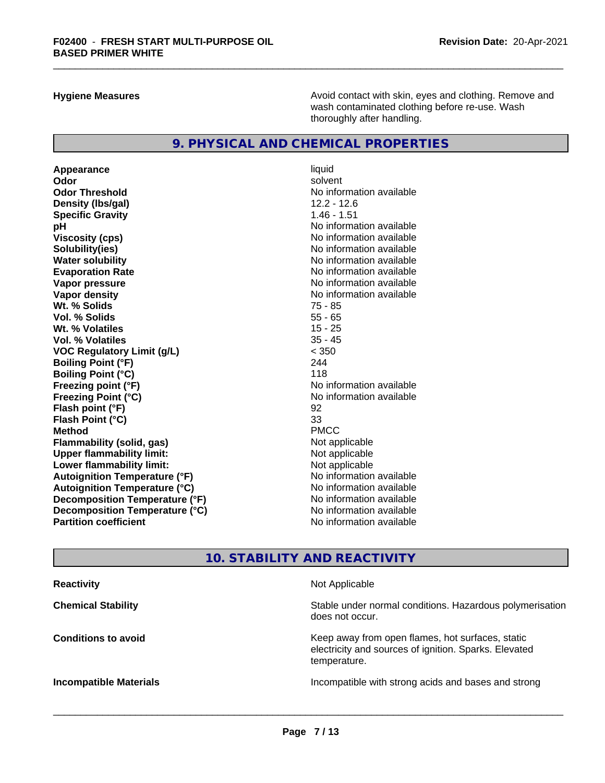**Hygiene Measures Avoid contact with skin, eyes and clothing. Remove and Avoid contact with skin, eyes and clothing. Remove and Avoid contact with skin, eyes and clothing. Remove and** wash contaminated clothing before re-use. Wash thoroughly after handling.

### **9. PHYSICAL AND CHEMICAL PROPERTIES**

**Appearance** liquid **Odor** solvent **Odor Threshold No information available No information available Density (lbs/gal)** 12.2 - 12.6 **Specific Gravity** 1.46 - 1.51 **pH** No information available **Viscosity (cps)** No information available No information available **Solubility(ies)**<br> **Solubility**<br> **Water solubility**<br> **Water solubility Evaporation Rate No information available No information available Vapor pressure** No information available **Vapor density No information available No** information available **Wt. % Solids** 75 - 85 **Vol. % Solids** 55 - 65 **Wt. % Volatiles** 15 - 25 **Vol. % Volatiles** 35 - 45 **VOC Regulatory Limit (g/L)** < 350 **Boiling Point (°F)** 244 **Boiling Point (°C)** 118 **Freezing point (°F)** No information available **Freezing Point (°C)** No information available **Flash point (°F)** 92 **Flash Point (°C)** 33 **Method** PMCC **Flammability (solid, gas)** Not applicable<br> **Upper flammability limit:** Not applicable **Upper flammability limit: Lower flammability limit:** Not applicable **Autoignition Temperature (°F)** No information available **Autoignition Temperature (°C)** No information available **Decomposition Temperature (°F)** No information available **Decomposition Temperature (°C)** No information available **Partition coefficient Contract Community No information available** 

**No information available** 

### **10. STABILITY AND REACTIVITY**

| Not Applicable                                                                                                            |
|---------------------------------------------------------------------------------------------------------------------------|
| Stable under normal conditions. Hazardous polymerisation<br>does not occur.                                               |
| Keep away from open flames, hot surfaces, static<br>electricity and sources of ignition. Sparks. Elevated<br>temperature. |
| Incompatible with strong acids and bases and strong                                                                       |
|                                                                                                                           |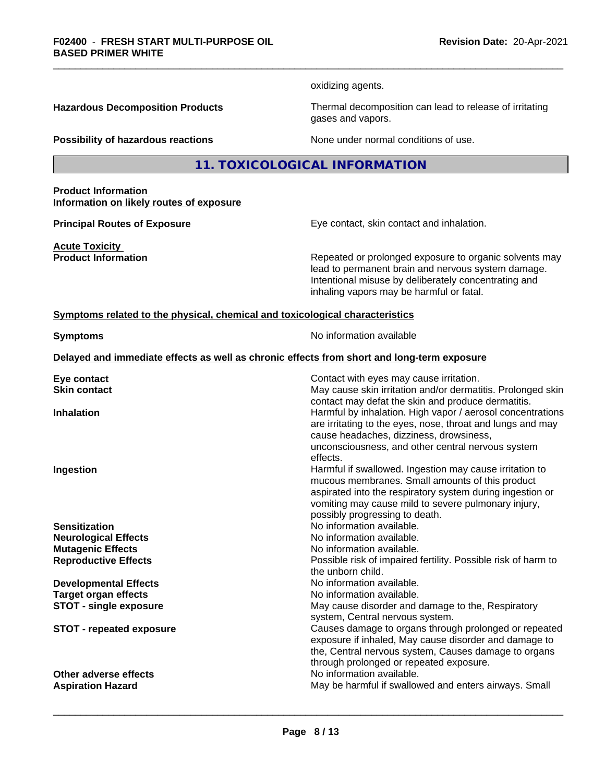oxidizing agents.

**Hazardous Decomposition Products** Thermal decomposition can lead to release of irritating gases and vapors.

**Possibility of hazardous reactions** None under normal conditions of use.

### **11. TOXICOLOGICAL INFORMATION**

**Product Information Information on likely routes of exposure**

**Acute Toxicity**<br>**Product Information** 

**Principal Routes of Exposure** Eye contact, skin contact and inhalation.

Repeated or prolonged exposure to organic solvents may lead to permanent brain and nervous system damage. Intentional misuse by deliberately concentrating and inhaling vapors may be harmful or fatal.

#### **Symptoms related to the physical, chemical and toxicological characteristics**

**Symptoms** No information available

**Delayed and immediate effects as well as chronic effects from short and long-term exposure**

| Eye contact<br><b>Skin contact</b> | Contact with eyes may cause irritation.<br>May cause skin irritation and/or dermatitis. Prolonged skin                                                                                                                                                                         |
|------------------------------------|--------------------------------------------------------------------------------------------------------------------------------------------------------------------------------------------------------------------------------------------------------------------------------|
| <b>Inhalation</b>                  | contact may defat the skin and produce dermatitis.<br>Harmful by inhalation. High vapor / aerosol concentrations<br>are irritating to the eyes, nose, throat and lungs and may<br>cause headaches, dizziness, drowsiness,<br>unconsciousness, and other central nervous system |
| Ingestion                          | effects.<br>Harmful if swallowed. Ingestion may cause irritation to<br>mucous membranes. Small amounts of this product<br>aspirated into the respiratory system during ingestion or<br>vomiting may cause mild to severe pulmonary injury,<br>possibly progressing to death.   |
| <b>Sensitization</b>               | No information available.                                                                                                                                                                                                                                                      |
| <b>Neurological Effects</b>        | No information available.                                                                                                                                                                                                                                                      |
| <b>Mutagenic Effects</b>           | No information available.                                                                                                                                                                                                                                                      |
| <b>Reproductive Effects</b>        | Possible risk of impaired fertility. Possible risk of harm to<br>the unborn child.                                                                                                                                                                                             |
| <b>Developmental Effects</b>       | No information available.                                                                                                                                                                                                                                                      |
| <b>Target organ effects</b>        | No information available.                                                                                                                                                                                                                                                      |
| <b>STOT - single exposure</b>      | May cause disorder and damage to the, Respiratory<br>system, Central nervous system.                                                                                                                                                                                           |
| <b>STOT - repeated exposure</b>    | Causes damage to organs through prolonged or repeated<br>exposure if inhaled, May cause disorder and damage to<br>the, Central nervous system, Causes damage to organs<br>through prolonged or repeated exposure.                                                              |
| Other adverse effects              | No information available.                                                                                                                                                                                                                                                      |
| <b>Aspiration Hazard</b>           | May be harmful if swallowed and enters airways. Small                                                                                                                                                                                                                          |
|                                    |                                                                                                                                                                                                                                                                                |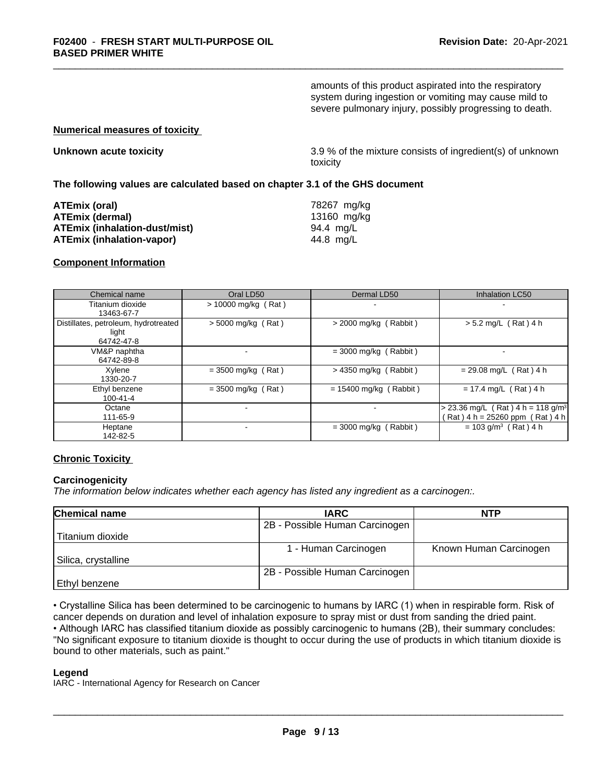amounts of this product aspirated into the respiratory system during ingestion or vomiting may cause mild to severe pulmonary injury, possibly progressing to death.

#### **Numerical measures of toxicity**

| Unknown acute toxicity |  |  |
|------------------------|--|--|
|------------------------|--|--|

**Unknown acute toxicity** 3.9 % of the mixtureconsists of ingredient(s) of unknown toxicity

#### **The following values are calculated based on chapter 3.1 of the GHS document**

| ATEmix (oral)                        | 78267 mg/kg |
|--------------------------------------|-------------|
| <b>ATEmix (dermal)</b>               | 13160 mg/kg |
| <b>ATEmix (inhalation-dust/mist)</b> | 94.4 mg/L   |
| ATEmix (inhalation-vapor)            | 44.8 ma/L   |

#### **Component Information**

| Chemical name                                               | Oral LD50             | Dermal LD50              | Inhalation LC50                                                                      |
|-------------------------------------------------------------|-----------------------|--------------------------|--------------------------------------------------------------------------------------|
| Titanium dioxide<br>13463-67-7                              | $> 10000$ mg/kg (Rat) | $\blacksquare$           |                                                                                      |
| Distillates, petroleum, hydrotreated<br>light<br>64742-47-8 | $> 5000$ mg/kg (Rat)  | $>$ 2000 mg/kg (Rabbit)  | $> 5.2$ mg/L (Rat) 4 h                                                               |
| VM&P naphtha<br>64742-89-8                                  |                       | $=$ 3000 mg/kg (Rabbit)  |                                                                                      |
| Xvlene<br>1330-20-7                                         | $=$ 3500 mg/kg (Rat)  | $>$ 4350 mg/kg (Rabbit)  | $= 29.08$ mg/L (Rat) 4 h                                                             |
| Ethyl benzene<br>100-41-4                                   | $=$ 3500 mg/kg (Rat)  | $= 15400$ mg/kg (Rabbit) | $= 17.4$ mg/L (Rat) 4 h                                                              |
| Octane<br>111-65-9                                          |                       | $\blacksquare$           | $> 23.36$ mg/L (Rat) 4 h = 118 g/m <sup>3</sup><br>$(Rat)$ 4 h = 25260 ppm (Rat) 4 h |
| Heptane<br>142-82-5                                         |                       | $=$ 3000 mg/kg (Rabbit)  | $= 103$ g/m <sup>3</sup> (Rat) 4 h                                                   |

#### **Chronic Toxicity**

#### **Carcinogenicity**

*The information below indicateswhether each agency has listed any ingredient as a carcinogen:.*

| <b>Chemical name</b> | <b>IARC</b>                    | <b>NTP</b>             |
|----------------------|--------------------------------|------------------------|
|                      | 2B - Possible Human Carcinogen |                        |
| Titanium dioxide     |                                |                        |
|                      | - Human Carcinogen             | Known Human Carcinogen |
| Silica, crystalline  |                                |                        |
|                      | 2B - Possible Human Carcinogen |                        |
| Ethyl benzene        |                                |                        |

• Crystalline Silica has been determined to be carcinogenic to humans by IARC (1) when in respirable form. Risk of cancer depends on duration and level of inhalation exposure to spray mist or dust from sanding the dried paint.• Although IARC has classified titanium dioxide as possibly carcinogenic to humans (2B), their summary concludes: "No significant exposure to titanium dioxide is thought to occur during the use of products in which titanium dioxide is bound to other materials, such as paint."

#### **Legend**

IARC - International Agency for Research on Cancer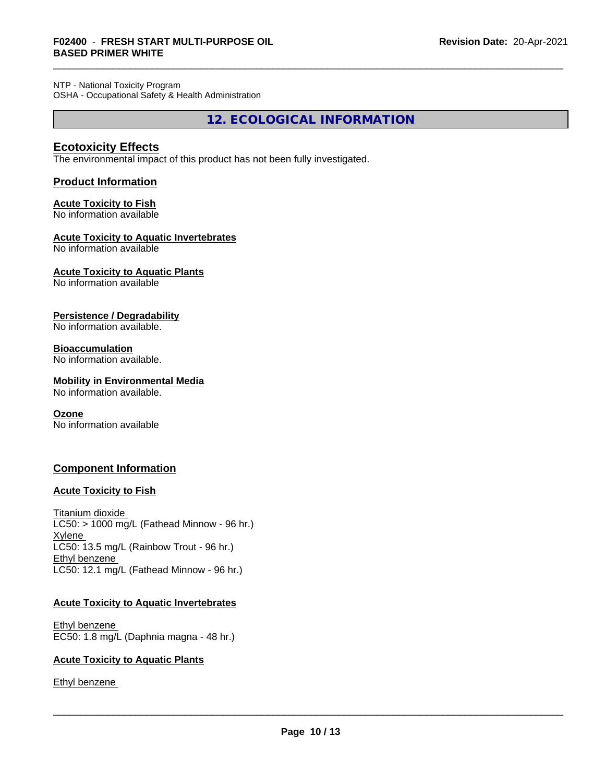NTP - National Toxicity Program OSHA - Occupational Safety & Health Administration

**12. ECOLOGICAL INFORMATION**

#### **Ecotoxicity Effects**

The environmental impact of this product has not been fully investigated.

#### **Product Information**

### **Acute Toxicity to Fish**

No information available

#### **Acute Toxicity to Aquatic Invertebrates**

No information available

### **Acute Toxicity to Aquatic Plants**

No information available

#### **Persistence / Degradability**

No information available.

#### **Bioaccumulation**

No information available.

### **Mobility in Environmental Media**

No information available.

#### **Ozone**

No information available

#### **Component Information**

#### **Acute Toxicity to Fish**

Titanium dioxide  $LC50:$  > 1000 mg/L (Fathead Minnow - 96 hr.) Xylene LC50: 13.5 mg/L (Rainbow Trout - 96 hr.) Ethyl benzene LC50: 12.1 mg/L (Fathead Minnow - 96 hr.)

#### **Acute Toxicity to Aquatic Invertebrates**

Ethyl benzene EC50: 1.8 mg/L (Daphnia magna - 48 hr.)

#### **Acute Toxicity to Aquatic Plants**

Ethyl benzene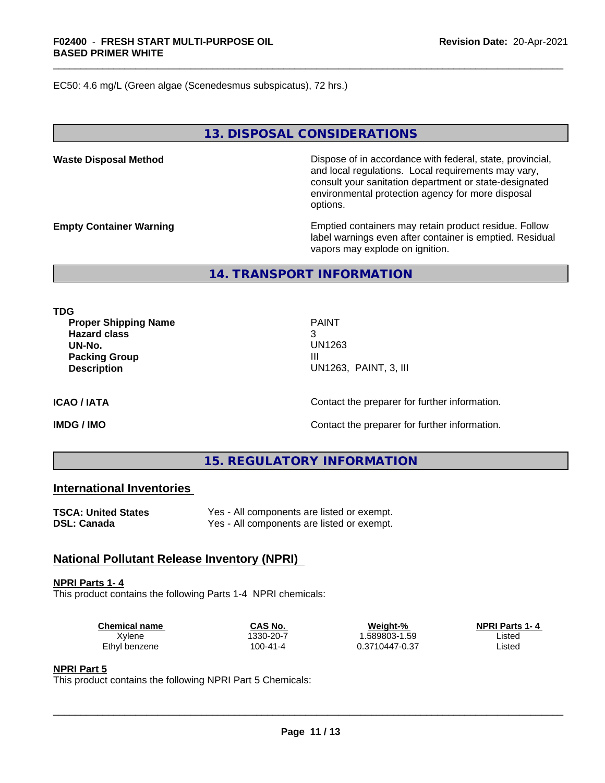EC50: 4.6 mg/L (Green algae (Scenedesmus subspicatus), 72 hrs.)

#### **13. DISPOSAL CONSIDERATIONS**

**Waste Disposal Method Dispose of in accordance with federal, state, provincial,** and local regulations. Local requirements may vary, consult your sanitation department or state-designated environmental protection agency for more disposal options.

**Empty Container Warning <b>Emptied** Containers may retain product residue. Follow label warnings even after container is emptied. Residual vapors may explode on ignition.

#### **14. TRANSPORT INFORMATION**

**TDG**

**Proper Shipping Name** PAINT **Hazard class** 3 **UN-No.** UN1263 **Packing Group III Description** UN1263, PAINT, 3, III

**ICAO / IATA** Contact the preparer for further information.

**IMDG / IMO IMO Contact the preparer for further information.** 

#### **15. REGULATORY INFORMATION**

#### **International Inventories**

**TSCA: United States** Yes - All components are listed or exempt.<br> **DSL: Canada** Yes - All components are listed or exempt.

Yes - All components are listed or exempt.

#### **National Pollutant Release Inventory (NPRI)**

#### **NPRI Parts 1- 4**

This product contains the following Parts 1-4 NPRI chemicals:

| <b>Chemical name</b> | CAS No.   | Weight-%       | <b>NPRI Parts 1-4</b> |  |
|----------------------|-----------|----------------|-----------------------|--|
| Xvlene               | 1330-20-7 | .589803-1.59   | Listed                |  |
| Ethyl benzene        | 100-41-4  | 0.3710447-0.37 | Listec                |  |

#### **NPRI Part 5**

This product contains the following NPRI Part 5 Chemicals: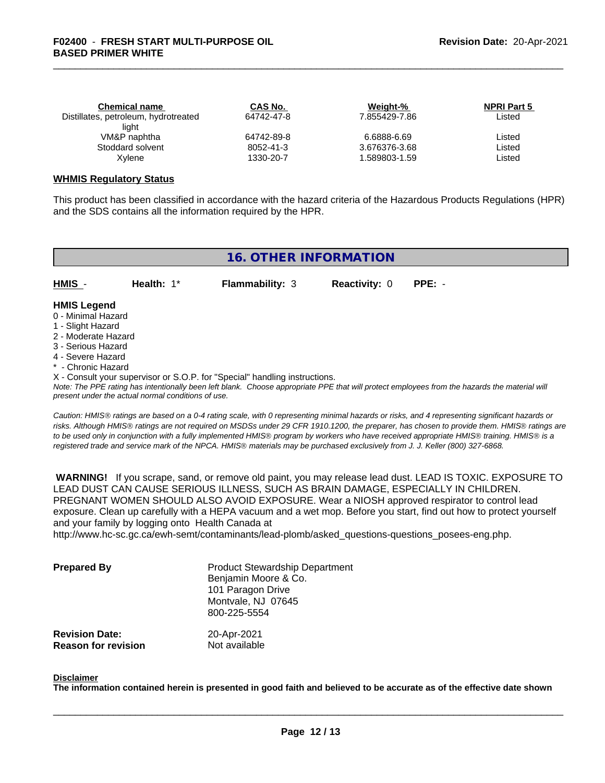| <b>Chemical name</b>                 | CAS No.    | Weight-%      | <b>NPRI Part 5</b> |  |
|--------------------------------------|------------|---------------|--------------------|--|
| Distillates, petroleum, hydrotreated | 64742-47-8 | 7.855429-7.86 | Listed             |  |
| light                                |            |               |                    |  |
| VM&P naphtha                         | 64742-89-8 | 6.6888-6.69   | Listed             |  |
| Stoddard solvent                     | 8052-41-3  | 3.676376-3.68 | Listed             |  |
| Xvlene                               | 1330-20-7  | .589803-1.59  | Listed             |  |
|                                      |            |               |                    |  |

#### **WHMIS Regulatory Status**

This product has been classified in accordance with the hazard criteria of the Hazardous Products Regulations (HPR) and the SDS contains all the information required by the HPR.

|                                                                                                                                                                                                             |              | 16. OTHER INFORMATION                                                      |                      |                                                                                                                                               |
|-------------------------------------------------------------------------------------------------------------------------------------------------------------------------------------------------------------|--------------|----------------------------------------------------------------------------|----------------------|-----------------------------------------------------------------------------------------------------------------------------------------------|
| HMIS -                                                                                                                                                                                                      | Health: $1*$ | <b>Flammability: 3</b>                                                     | <b>Reactivity: 0</b> | $PPE: -$                                                                                                                                      |
| <b>HMIS Legend</b><br>0 - Minimal Hazard<br>1 - Slight Hazard<br>2 - Moderate Hazard<br>3 - Serious Hazard<br>4 - Severe Hazard<br>* - Chronic Hazard<br>present under the actual normal conditions of use. |              | X - Consult your supervisor or S.O.P. for "Special" handling instructions. |                      | Note: The PPE rating has intentionally been left blank. Choose appropriate PPE that will protect employees from the hazards the material will |

*Caution: HMISÒ ratings are based on a 0-4 rating scale, with 0 representing minimal hazards or risks, and 4 representing significant hazards or risks. Although HMISÒ ratings are not required on MSDSs under 29 CFR 1910.1200, the preparer, has chosen to provide them. HMISÒ ratings are to be used only in conjunction with a fully implemented HMISÒ program by workers who have received appropriate HMISÒ training. HMISÒ is a registered trade and service mark of the NPCA. HMISÒ materials may be purchased exclusively from J. J. Keller (800) 327-6868.*

 **WARNING!** If you scrape, sand, or remove old paint, you may release lead dust. LEAD IS TOXIC. EXPOSURE TO LEAD DUST CAN CAUSE SERIOUS ILLNESS, SUCH AS BRAIN DAMAGE, ESPECIALLY IN CHILDREN. PREGNANT WOMEN SHOULD ALSO AVOID EXPOSURE. Wear a NIOSH approved respirator to control lead exposure. Clean up carefully with a HEPA vacuum and a wet mop. Before you start, find out how to protect yourself and your family by logging onto Health Canada at

http://www.hc-sc.gc.ca/ewh-semt/contaminants/lead-plomb/asked\_questions-questions\_posees-eng.php.

| <b>Prepared By</b>                                  | <b>Product Stewardship Department</b><br>Benjamin Moore & Co.<br>101 Paragon Drive<br>Montvale, NJ 07645<br>800-225-5554 |  |
|-----------------------------------------------------|--------------------------------------------------------------------------------------------------------------------------|--|
| <b>Revision Date:</b><br><b>Reason for revision</b> | 20-Apr-2021<br>Not available                                                                                             |  |

#### **Disclaimer**

The information contained herein is presented in good faith and believed to be accurate as of the effective date shown